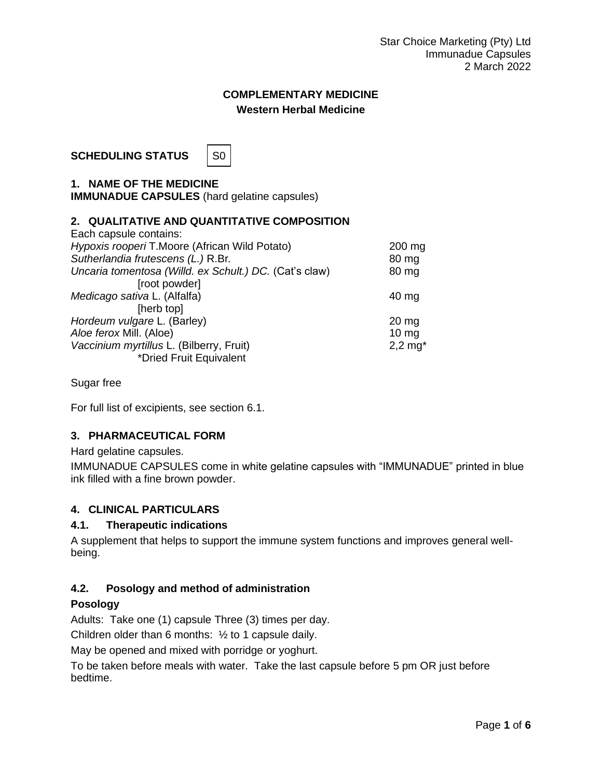# **COMPLEMENTARY MEDICINE Western Herbal Medicine**

**SCHEDULING STATUS** | SO



**1. NAME OF THE MEDICINE IMMUNADUE CAPSULES** (hard gelatine capsules)

# **2. QUALITATIVE AND QUANTITATIVE COMPOSITION**

| Each capsule contains:                                 |                  |
|--------------------------------------------------------|------------------|
| Hypoxis rooperi T.Moore (African Wild Potato)          | $200$ mg         |
| Sutherlandia frutescens (L.) R.Br.                     | 80 mg            |
| Uncaria tomentosa (Willd. ex Schult.) DC. (Cat's claw) | 80 mg            |
| [root powder]                                          |                  |
| Medicago sativa L. (Alfalfa)                           | $40 \text{ mg}$  |
| [herb top]                                             |                  |
| Hordeum vulgare L. (Barley)                            | $20 \mathrm{mg}$ |
| Aloe ferox Mill. (Aloe)                                | $10 \text{ mg}$  |
| Vaccinium myrtillus L. (Bilberry, Fruit)               | $2,2$ mg $*$     |
| *Dried Fruit Equivalent                                |                  |

Sugar free

For full list of excipients, see section 6.1.

# **3. PHARMACEUTICAL FORM**

Hard gelatine capsules.

IMMUNADUE CAPSULES come in white gelatine capsules with "IMMUNADUE" printed in blue ink filled with a fine brown powder.

# **4. CLINICAL PARTICULARS**

### **4.1. Therapeutic indications**

A supplement that helps to support the immune system functions and improves general wellbeing.

# **4.2. Posology and method of administration**

#### **Posology**

Adults: Take one (1) capsule Three (3) times per day.

Children older than 6 months: ½ to 1 capsule daily.

May be opened and mixed with porridge or yoghurt.

To be taken before meals with water. Take the last capsule before 5 pm OR just before bedtime.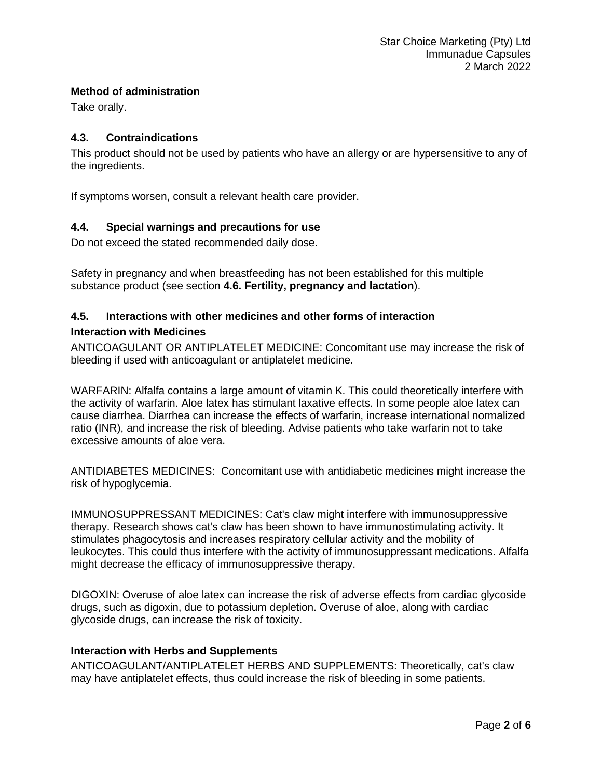### **Method of administration**

Take orally.

### **4.3. Contraindications**

This product should not be used by patients who have an allergy or are hypersensitive to any of the ingredients.

If symptoms worsen, consult a relevant health care provider.

# **4.4. Special warnings and precautions for use**

Do not exceed the stated recommended daily dose.

Safety in pregnancy and when breastfeeding has not been established for this multiple substance product (see section **4.6. Fertility, pregnancy and lactation**).

# **4.5. Interactions with other medicines and other forms of interaction Interaction with Medicines**

ANTICOAGULANT OR ANTIPLATELET MEDICINE: Concomitant use may increase the risk of bleeding if used with anticoagulant or antiplatelet medicine.

WARFARIN: Alfalfa contains a large amount of vitamin K. This could theoretically interfere with the activity of warfarin. Aloe latex has stimulant laxative effects. In some people aloe latex can cause diarrhea. Diarrhea can increase the effects of warfarin, increase international normalized ratio (INR), and increase the risk of bleeding. Advise patients who take warfarin not to take excessive amounts of aloe vera.

ANTIDIABETES MEDICINES: Concomitant use with antidiabetic medicines might increase the risk of hypoglycemia.

IMMUNOSUPPRESSANT MEDICINES: Cat's claw might interfere with immunosuppressive therapy. Research shows cat's claw has been shown to have immunostimulating activity. It stimulates phagocytosis and increases respiratory cellular activity and the mobility of leukocytes. This could thus interfere with the activity of immunosuppressant medications. Alfalfa might decrease the efficacy of immunosuppressive therapy.

DIGOXIN: Overuse of aloe latex can increase the risk of adverse effects from cardiac glycoside drugs, such as digoxin, due to potassium depletion. Overuse of aloe, along with cardiac glycoside drugs, can increase the risk of toxicity.

#### **Interaction with Herbs and Supplements**

ANTICOAGULANT/ANTIPLATELET HERBS AND SUPPLEMENTS: Theoretically, cat's claw may have antiplatelet effects, thus could increase the risk of bleeding in some patients.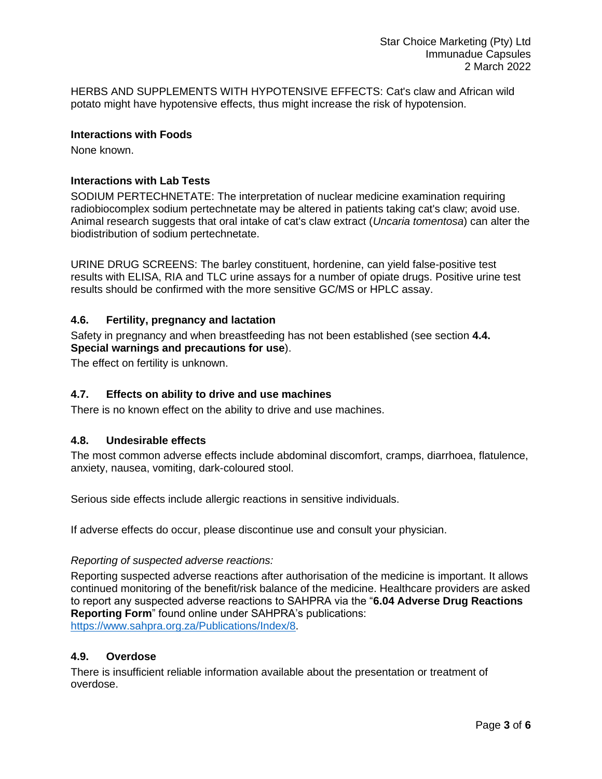HERBS AND SUPPLEMENTS WITH HYPOTENSIVE EFFECTS: Cat's claw and African wild potato might have hypotensive effects, thus might increase the risk of hypotension.

### **Interactions with Foods**

None known.

### **Interactions with Lab Tests**

SODIUM PERTECHNETATE: The interpretation of nuclear medicine examination requiring radiobiocomplex sodium pertechnetate may be altered in patients taking cat's claw; avoid use. Animal research suggests that oral intake of cat's claw extract (*Uncaria tomentosa*) can alter the biodistribution of sodium pertechnetate.

URINE DRUG SCREENS: The barley constituent, hordenine, can yield false-positive test results with ELISA, RIA and TLC urine assays for a number of opiate drugs. Positive urine test results should be confirmed with the more sensitive GC/MS or HPLC assay.

### **4.6. Fertility, pregnancy and lactation**

Safety in pregnancy and when breastfeeding has not been established (see section **4.4. Special warnings and precautions for use**).

The effect on fertility is unknown.

# **4.7. Effects on ability to drive and use machines**

There is no known effect on the ability to drive and use machines.

#### **4.8. Undesirable effects**

The most common adverse effects include abdominal discomfort, cramps, diarrhoea, flatulence, anxiety, nausea, vomiting, dark-coloured stool.

Serious side effects include allergic reactions in sensitive individuals.

If adverse effects do occur, please discontinue use and consult your physician.

#### *Reporting of suspected adverse reactions:*

Reporting suspected adverse reactions after authorisation of the medicine is important. It allows continued monitoring of the benefit/risk balance of the medicine. Healthcare providers are asked to report any suspected adverse reactions to SAHPRA via the "**6.04 Adverse Drug Reactions Reporting Form**" found online under SAHPRA's publications: [https://www.sahpra.org.za/Publications/Index/8.](https://www.sahpra.org.za/Publications/Index/8)

#### **4.9. Overdose**

There is insufficient reliable information available about the presentation or treatment of overdose.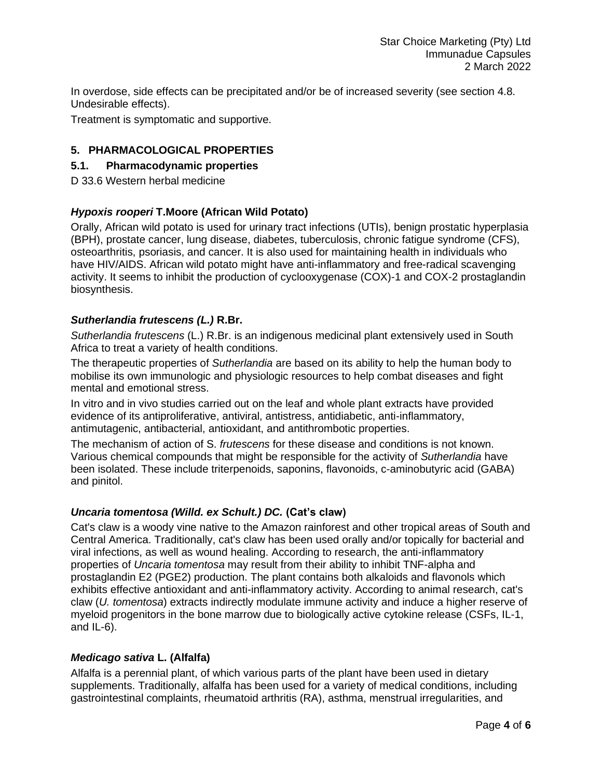In overdose, side effects can be precipitated and/or be of increased severity (see section 4.8. Undesirable effects).

Treatment is symptomatic and supportive.

# **5. PHARMACOLOGICAL PROPERTIES**

### **5.1. Pharmacodynamic properties**

D 33.6 Western herbal medicine

# *Hypoxis rooperi* **T.Moore (African Wild Potato)**

Orally, African wild potato is used for urinary tract infections (UTIs), benign prostatic hyperplasia (BPH), prostate cancer, lung disease, diabetes, tuberculosis, chronic fatigue syndrome (CFS), osteoarthritis, psoriasis, and cancer. It is also used for maintaining health in individuals who have HIV/AIDS. African wild potato might have anti-inflammatory and free-radical scavenging activity. It seems to inhibit the production of cyclooxygenase (COX)-1 and COX-2 prostaglandin biosynthesis.

### *Sutherlandia frutescens (L.)* **R.Br.**

*Sutherlandia frutescens* (L.) R.Br. is an indigenous medicinal plant extensively used in South Africa to treat a variety of health conditions.

The therapeutic properties of *Sutherlandia* are based on its ability to help the human body to mobilise its own immunologic and physiologic resources to help combat diseases and fight mental and emotional stress.

In vitro and in vivo studies carried out on the leaf and whole plant extracts have provided evidence of its antiproliferative, antiviral, antistress, antidiabetic, anti-inflammatory, antimutagenic, antibacterial, antioxidant, and antithrombotic properties.

The mechanism of action of S. *frutescens* for these disease and conditions is not known. Various chemical compounds that might be responsible for the activity of *Sutherlandia* have been isolated. These include triterpenoids, saponins, flavonoids, c-aminobutyric acid (GABA) and pinitol.

#### *Uncaria tomentosa (Willd. ex Schult.) DC.* **(Cat's claw)**

Cat's claw is a woody vine native to the Amazon rainforest and other tropical areas of South and Central America. Traditionally, cat's claw has been used orally and/or topically for bacterial and viral infections, as well as wound healing. According to research, the anti-inflammatory properties of *Uncaria tomentosa* may result from their ability to inhibit TNF-alpha and prostaglandin E2 (PGE2) production. The plant contains both alkaloids and flavonols which exhibits effective antioxidant and anti-inflammatory activity. According to animal research, cat's claw (*U. tomentosa*) extracts indirectly modulate immune activity and induce a higher reserve of myeloid progenitors in the bone marrow due to biologically active cytokine release (CSFs, IL-1, and IL-6).

#### *Medicago sativa* **L. (Alfalfa)**

Alfalfa is a perennial plant, of which various parts of the plant have been used in dietary supplements. Traditionally, alfalfa has been used for a variety of medical conditions, including gastrointestinal complaints, rheumatoid arthritis (RA), asthma, menstrual irregularities, and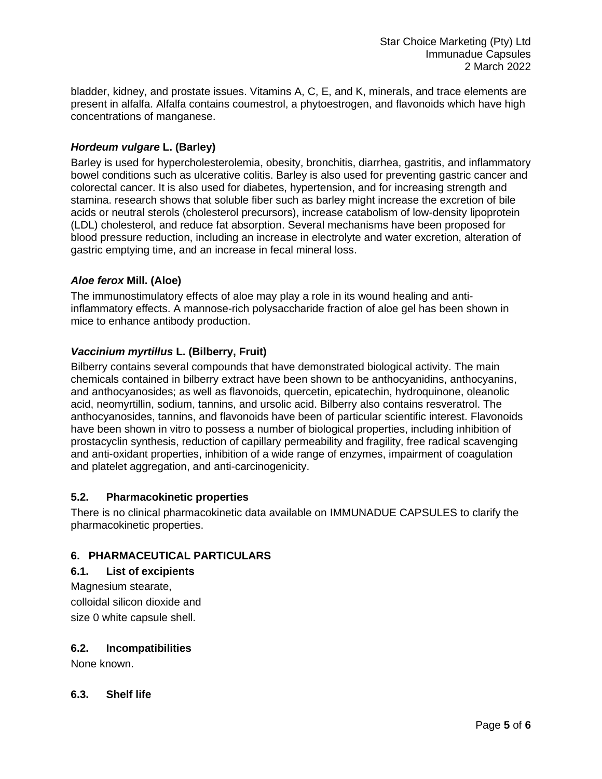bladder, kidney, and prostate issues. Vitamins A, C, E, and K, minerals, and trace elements are present in alfalfa. Alfalfa contains coumestrol, a phytoestrogen, and flavonoids which have high concentrations of manganese.

# *Hordeum vulgare* **L. (Barley)**

Barley is used for hypercholesterolemia, obesity, bronchitis, diarrhea, gastritis, and inflammatory bowel conditions such as ulcerative colitis. Barley is also used for preventing gastric cancer and colorectal cancer. It is also used for diabetes, hypertension, and for increasing strength and stamina. research shows that soluble fiber such as barley might increase the excretion of bile acids or neutral sterols (cholesterol precursors), increase catabolism of low-density lipoprotein (LDL) cholesterol, and reduce fat absorption. Several mechanisms have been proposed for blood pressure reduction, including an increase in electrolyte and water excretion, alteration of gastric emptying time, and an increase in fecal mineral loss.

# *Aloe ferox* **Mill. (Aloe)**

The immunostimulatory effects of aloe may play a role in its wound healing and antiinflammatory effects. A mannose-rich polysaccharide fraction of aloe gel has been shown in mice to enhance antibody production.

### *Vaccinium myrtillus* **L. (Bilberry, Fruit)**

Bilberry contains several compounds that have demonstrated biological activity. The main chemicals contained in bilberry extract have been shown to be anthocyanidins, anthocyanins, and anthocyanosides; as well as flavonoids, quercetin, epicatechin, hydroquinone, oleanolic acid, neomyrtillin, sodium, tannins, and ursolic acid. Bilberry also contains resveratrol. The anthocyanosides, tannins, and flavonoids have been of particular scientific interest. Flavonoids have been shown in vitro to possess a number of biological properties, including inhibition of prostacyclin synthesis, reduction of capillary permeability and fragility, free radical scavenging and anti-oxidant properties, inhibition of a wide range of enzymes, impairment of coagulation and platelet aggregation, and anti-carcinogenicity.

#### **5.2. Pharmacokinetic properties**

There is no clinical pharmacokinetic data available on IMMUNADUE CAPSULES to clarify the pharmacokinetic properties.

# **6. PHARMACEUTICAL PARTICULARS**

#### **6.1. List of excipients**

Magnesium stearate, colloidal silicon dioxide and size 0 white capsule shell.

# **6.2. Incompatibilities**

None known.

#### **6.3. Shelf life**